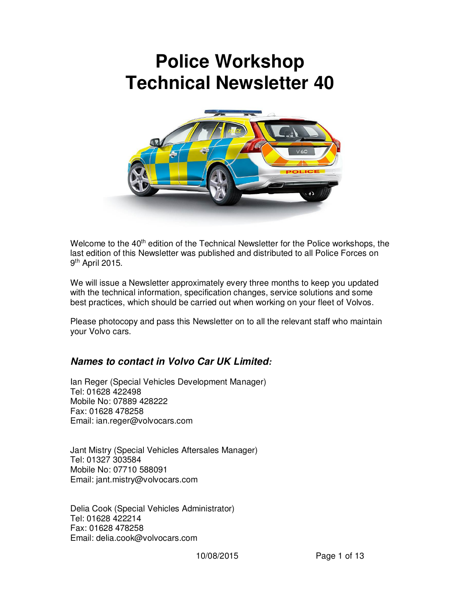# **Police Workshop Technical Newsletter 40**



Welcome to the 40<sup>th</sup> edition of the Technical Newsletter for the Police workshops, the last edition of this Newsletter was published and distributed to all Police Forces on 9<sup>th</sup> April 2015.

We will issue a Newsletter approximately every three months to keep you updated with the technical information, specification changes, service solutions and some best practices, which should be carried out when working on your fleet of Volvos.

Please photocopy and pass this Newsletter on to all the relevant staff who maintain your Volvo cars.

#### *Names to contact in Volvo Car UK Limited:*

Ian Reger (Special Vehicles Development Manager) Tel: 01628 422498 Mobile No: 07889 428222 Fax: 01628 478258 Email: ian.reger@volvocars.com

Jant Mistry (Special Vehicles Aftersales Manager) Tel: 01327 303584 Mobile No: 07710 588091 Email: jant.mistry@volvocars.com

Delia Cook (Special Vehicles Administrator) Tel: 01628 422214 Fax: 01628 478258 Email: delia.cook@volvocars.com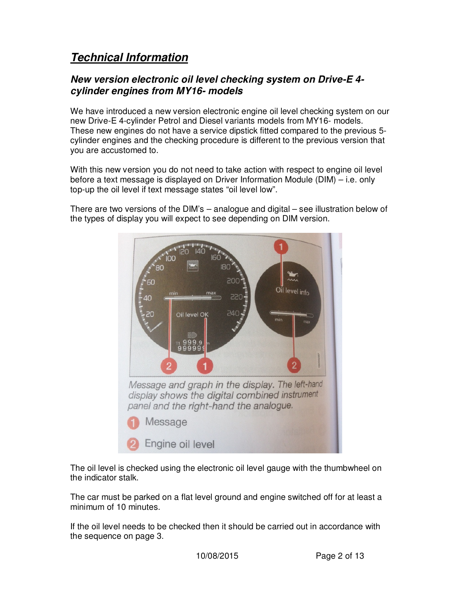## *Technical Information*

#### *New version electronic oil level checking system on Drive-E 4 cylinder engines from MY16- models*

We have introduced a new version electronic engine oil level checking system on our new Drive-E 4-cylinder Petrol and Diesel variants models from MY16- models. These new engines do not have a service dipstick fitted compared to the previous 5 cylinder engines and the checking procedure is different to the previous version that you are accustomed to.

With this new version you do not need to take action with respect to engine oil level before a text message is displayed on Driver Information Module (DIM) – i.e. only top-up the oil level if text message states "oil level low".

There are two versions of the DIM's – analogue and digital – see illustration below of the types of display you will expect to see depending on DIM version.



The oil level is checked using the electronic oil level gauge with the thumbwheel on the indicator stalk.

The car must be parked on a flat level ground and engine switched off for at least a minimum of 10 minutes.

If the oil level needs to be checked then it should be carried out in accordance with the sequence on page 3.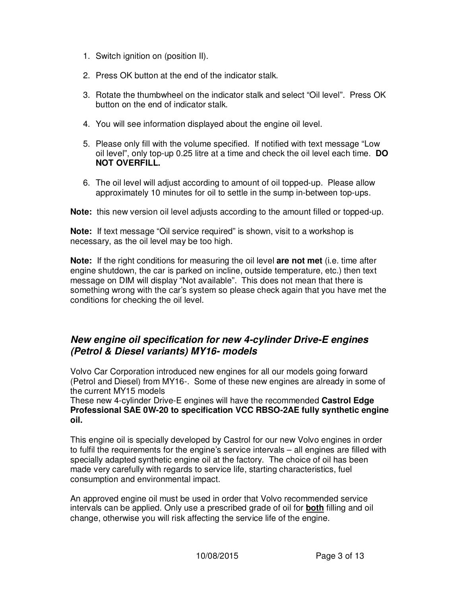- 1. Switch ignition on (position II).
- 2. Press OK button at the end of the indicator stalk.
- 3. Rotate the thumbwheel on the indicator stalk and select "Oil level". Press OK button on the end of indicator stalk.
- 4. You will see information displayed about the engine oil level.
- 5. Please only fill with the volume specified. If notified with text message "Low oil level", only top-up 0.25 litre at a time and check the oil level each time. **DO NOT OVERFILL.**
- 6. The oil level will adjust according to amount of oil topped-up. Please allow approximately 10 minutes for oil to settle in the sump in-between top-ups.

**Note:** this new version oil level adjusts according to the amount filled or topped-up.

**Note:** If text message "Oil service required" is shown, visit to a workshop is necessary, as the oil level may be too high.

**Note:** If the right conditions for measuring the oil level **are not met** (i.e. time after engine shutdown, the car is parked on incline, outside temperature, etc.) then text message on DIM will display "Not available". This does not mean that there is something wrong with the car's system so please check again that you have met the conditions for checking the oil level.

#### *New engine oil specification for new 4-cylinder Drive-E engines (Petrol & Diesel variants) MY16- models*

Volvo Car Corporation introduced new engines for all our models going forward (Petrol and Diesel) from MY16-. Some of these new engines are already in some of the current MY15 models

These new 4-cylinder Drive-E engines will have the recommended **Castrol Edge Professional SAE 0W-20 to specification VCC RBSO-2AE fully synthetic engine oil.**

This engine oil is specially developed by Castrol for our new Volvo engines in order to fulfil the requirements for the engine's service intervals – all engines are filled with specially adapted synthetic engine oil at the factory. The choice of oil has been made very carefully with regards to service life, starting characteristics, fuel consumption and environmental impact.

An approved engine oil must be used in order that Volvo recommended service intervals can be applied. Only use a prescribed grade of oil for **both** filling and oil change, otherwise you will risk affecting the service life of the engine.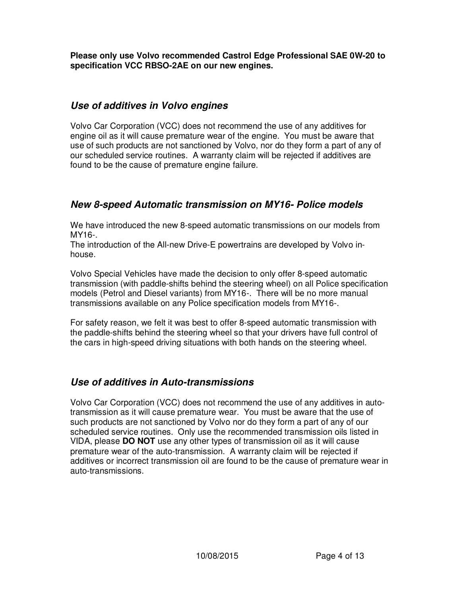**Please only use Volvo recommended Castrol Edge Professional SAE 0W-20 to specification VCC RBSO-2AE on our new engines.** 

#### *Use of additives in Volvo engines*

Volvo Car Corporation (VCC) does not recommend the use of any additives for engine oil as it will cause premature wear of the engine. You must be aware that use of such products are not sanctioned by Volvo, nor do they form a part of any of our scheduled service routines. A warranty claim will be rejected if additives are found to be the cause of premature engine failure.

### *New 8-speed Automatic transmission on MY16- Police models*

We have introduced the new 8-speed automatic transmissions on our models from MY16-.

The introduction of the All-new Drive-E powertrains are developed by Volvo inhouse.

Volvo Special Vehicles have made the decision to only offer 8-speed automatic transmission (with paddle-shifts behind the steering wheel) on all Police specification models (Petrol and Diesel variants) from MY16-. There will be no more manual transmissions available on any Police specification models from MY16-.

For safety reason, we felt it was best to offer 8-speed automatic transmission with the paddle-shifts behind the steering wheel so that your drivers have full control of the cars in high-speed driving situations with both hands on the steering wheel.

## *Use of additives in Auto-transmissions*

Volvo Car Corporation (VCC) does not recommend the use of any additives in autotransmission as it will cause premature wear. You must be aware that the use of such products are not sanctioned by Volvo nor do they form a part of any of our scheduled service routines. Only use the recommended transmission oils listed in VIDA, please **DO NOT** use any other types of transmission oil as it will cause premature wear of the auto-transmission. A warranty claim will be rejected if additives or incorrect transmission oil are found to be the cause of premature wear in auto-transmissions.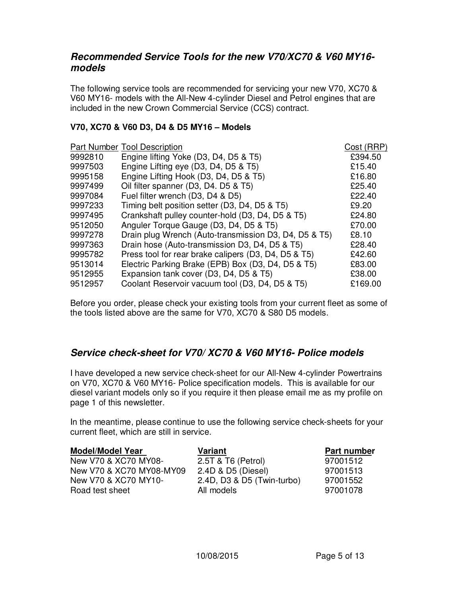#### *Recommended Service Tools for the new V70/XC70 & V60 MY16 models*

The following service tools are recommended for servicing your new V70, XC70 & V60 MY16- models with the All-New 4-cylinder Diesel and Petrol engines that are included in the new Crown Commercial Service (CCS) contract.

#### **V70, XC70 & V60 D3, D4 & D5 MY16 – Models**

|         | <b>Part Number Tool Description</b>                   | Cost (RRP) |
|---------|-------------------------------------------------------|------------|
| 9992810 | Engine lifting Yoke (D3, D4, D5 & T5)                 | £394.50    |
| 9997503 | Engine Lifting eye (D3, D4, D5 & T5)                  | £15.40     |
| 9995158 | Engine Lifting Hook (D3, D4, D5 & T5)                 | £16.80     |
| 9997499 | Oil filter spanner (D3, D4. D5 & T5)                  | £25.40     |
| 9997084 | Fuel filter wrench (D3, D4 & D5)                      | £22.40     |
| 9997233 | Timing belt position setter (D3, D4, D5 & T5)         | £9.20      |
| 9997495 | Crankshaft pulley counter-hold (D3, D4, D5 & T5)      | £24.80     |
| 9512050 | Anguler Torque Gauge (D3, D4, D5 & T5)                | £70.00     |
| 9997278 | Drain plug Wrench (Auto-transmission D3, D4, D5 & T5) | £8.10      |
| 9997363 | Drain hose (Auto-transmission D3, D4, D5 & T5)        | £28.40     |
| 9995782 | Press tool for rear brake calipers (D3, D4, D5 & T5)  | £42.60     |
| 9513014 | Electric Parking Brake (EPB) Box (D3, D4, D5 & T5)    | £83.00     |
| 9512955 | Expansion tank cover (D3, D4, D5 & T5)                | £38.00     |
| 9512957 | Coolant Reservoir vacuum tool (D3, D4, D5 & T5)       | £169.00    |

Before you order, please check your existing tools from your current fleet as some of the tools listed above are the same for V70, XC70 & S80 D5 models.

#### *Service check-sheet for V70/ XC70 & V60 MY16- Police models*

I have developed a new service check-sheet for our All-New 4-cylinder Powertrains on V70, XC70 & V60 MY16- Police specification models. This is available for our diesel variant models only so if you require it then please email me as my profile on page 1 of this newsletter.

In the meantime, please continue to use the following service check-sheets for your current fleet, which are still in service.

| <b>Model/Model Year</b>  | Variant                    | Part number |
|--------------------------|----------------------------|-------------|
| New V70 & XC70 MY08-     | 2.5T & T6 (Petrol)         | 97001512    |
| New V70 & XC70 MY08-MY09 | 2.4D & D5 (Diesel)         | 97001513    |
| New V70 & XC70 MY10-     | 2.4D, D3 & D5 (Twin-turbo) | 97001552    |
| Road test sheet          | All models                 | 97001078    |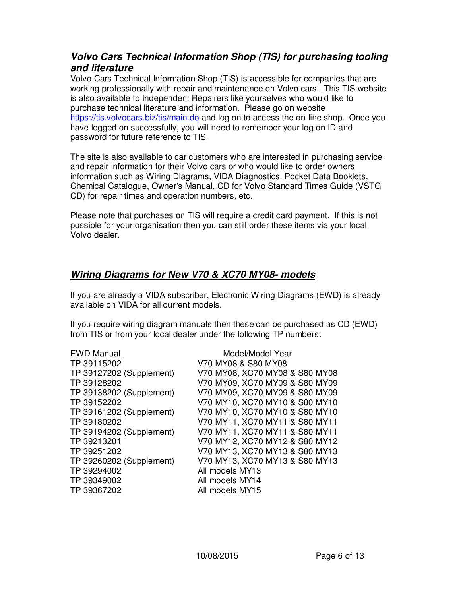#### *Volvo Cars Technical Information Shop (TIS) for purchasing tooling and literature*

Volvo Cars Technical Information Shop (TIS) is accessible for companies that are working professionally with repair and maintenance on Volvo cars. This TIS website is also available to Independent Repairers like yourselves who would like to purchase technical literature and information. Please go on website https://tis.volvocars.biz/tis/main.do and log on to access the on-line shop. Once you have logged on successfully, you will need to remember your log on ID and password for future reference to TIS.

The site is also available to car customers who are interested in purchasing service and repair information for their Volvo cars or who would like to order owners information such as Wiring Diagrams, VIDA Diagnostics, Pocket Data Booklets, Chemical Catalogue, Owner's Manual, CD for Volvo Standard Times Guide (VSTG CD) for repair times and operation numbers, etc.

Please note that purchases on TIS will require a credit card payment. If this is not possible for your organisation then you can still order these items via your local Volvo dealer.

### *Wiring Diagrams for New V70 & XC70 MY08- models*

If you are already a VIDA subscriber, Electronic Wiring Diagrams (EWD) is already available on VIDA for all current models.

If you require wiring diagram manuals then these can be purchased as CD (EWD) from TIS or from your local dealer under the following TP numbers:

EWD Manual Model/Model Year TP 39115202 V70 MY08 & S80 MY08 TP 39294002 All models MY13 TP 39349002 All models MY14 TP 39367202 All models MY15

TP 39127202 (Supplement) V70 MY08, XC70 MY08 & S80 MY08 TP 39128202 V70 MY09, XC70 MY09 & S80 MY09 TP 39138202 (Supplement) V70 MY09, XC70 MY09 & S80 MY09 TP 39152202 V70 MY10, XC70 MY10 & S80 MY10 TP 39161202 (Supplement) V70 MY10, XC70 MY10 & S80 MY10 TP 39180202 V70 MY11, XC70 MY11 & S80 MY11 TP 39194202 (Supplement) V70 MY11, XC70 MY11 & S80 MY11 TP 39213201 V70 MY12, XC70 MY12 & S80 MY12 TP 39251202 V70 MY13, XC70 MY13 & S80 MY13 TP 39260202 (Supplement) V70 MY13, XC70 MY13 & S80 MY13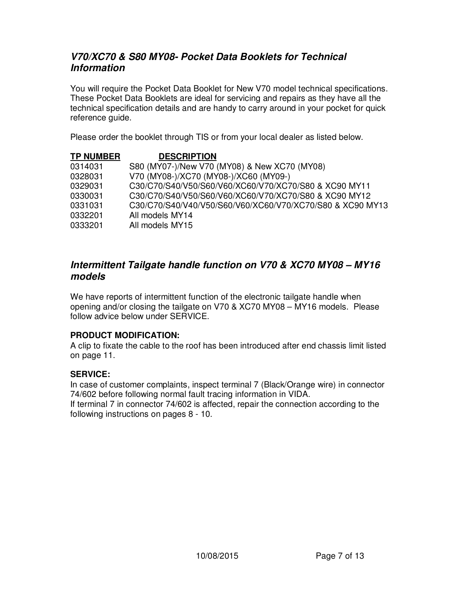#### *V70/XC70 & S80 MY08- Pocket Data Booklets for Technical Information*

You will require the Pocket Data Booklet for New V70 model technical specifications. These Pocket Data Booklets are ideal for servicing and repairs as they have all the technical specification details and are handy to carry around in your pocket for quick reference guide.

Please order the booklet through TIS or from your local dealer as listed below.

| <b>TP NUMBER</b> | <b>DESCRIPTION</b>                                        |
|------------------|-----------------------------------------------------------|
| 0314031          | S80 (MY07-)/New V70 (MY08) & New XC70 (MY08)              |
| 0328031          | V70 (MY08-)/XC70 (MY08-)/XC60 (MY09-)                     |
| 0329031          | C30/C70/S40/V50/S60/V60/XC60/V70/XC70/S80 & XC90 MY11     |
| 0330031          | C30/C70/S40/V50/S60/V60/XC60/V70/XC70/S80 & XC90 MY12     |
| 0331031          | C30/C70/S40/V40/V50/S60/V60/XC60/V70/XC70/S80 & XC90 MY13 |
| 0332201          | All models MY14                                           |
| 0333201          | All models MY15                                           |

#### *Intermittent Tailgate handle function on V70 & XC70 MY08 – MY16 models*

We have reports of intermittent function of the electronic tailgate handle when opening and/or closing the tailgate on V70 & XC70 MY08 – MY16 models. Please follow advice below under SERVICE.

#### **PRODUCT MODIFICATION:**

A clip to fixate the cable to the roof has been introduced after end chassis limit listed on page 11.

#### **SERVICE:**

In case of customer complaints, inspect terminal 7 (Black/Orange wire) in connector 74/602 before following normal fault tracing information in VIDA. If terminal 7 in connector 74/602 is affected, repair the connection according to the following instructions on pages 8 - 10.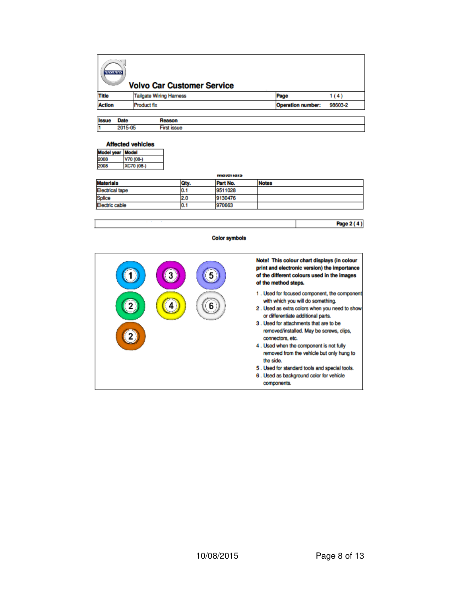| $\sim$<br><b>VOTATO</b><br><b>Volvo Car Customer Service</b> |                                |                          |         |  |
|--------------------------------------------------------------|--------------------------------|--------------------------|---------|--|
| <b>Title</b>                                                 | <b>Tailgate Wiring Harness</b> | Page                     | 1 ( 4 ) |  |
| <b>Action</b>                                                | <b>Product fix</b>             | <b>Operation number:</b> | 98603-2 |  |
| <b>Issue</b><br><b>Date</b>                                  | Reason                         |                          |         |  |

| . | .       | .           |
|---|---------|-------------|
|   | 2015-05 | First issue |

#### **Affected vehicles**

f.

| ٠ı |
|----|
|    |

#### ilti iaið

|                        |       | .        |              |
|------------------------|-------|----------|--------------|
| <b>Materials</b>       | Oty.  | Part No. | <b>Notes</b> |
| <b>Electrical tape</b> | 0.1   | 9511028  |              |
| Splice                 | 2.0   | 9130476  |              |
| <b>Electric cable</b>  | IU. 1 | 970663   |              |
|                        |       |          |              |

### **Color symbols**



Page 2 (4)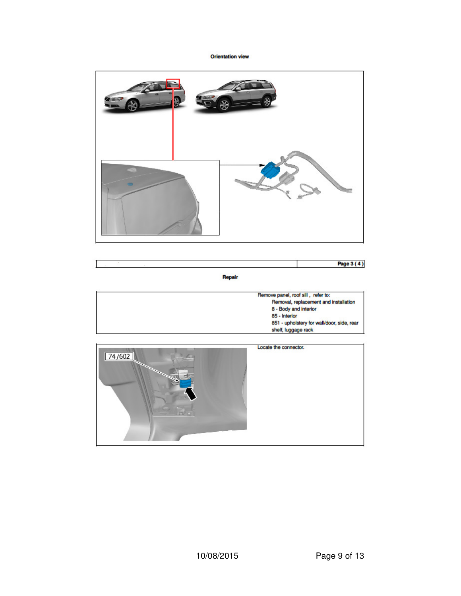#### **Orientation view**



Repair

| Remove panel, roof sill, refer to:         |
|--------------------------------------------|
| Removal, replacement and installation      |
| 8 - Body and interior                      |
| 85 - Interior                              |
| 851 - upholstery for wall/door, side, rear |
| shelf, luggage rack                        |

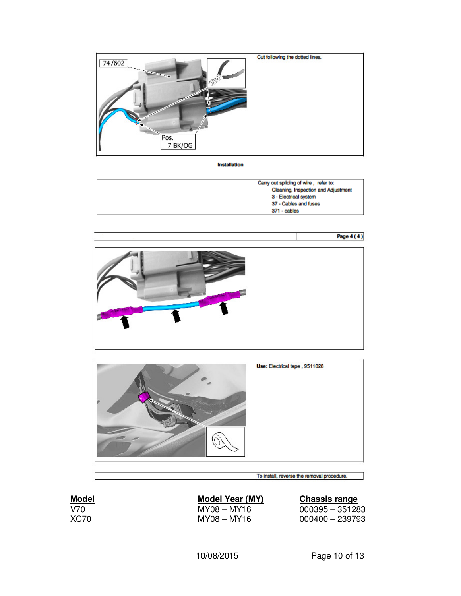

Installation

| Carry out splicing of wire, refer to: |
|---------------------------------------|
| Cleaning, Inspection and Adjustment   |
| 3 - Electrical system                 |
| 37 - Cables and fuses                 |
| 371 - cables                          |





To install, reverse the removal procedure.

| L<br>м |  |
|--------|--|
|        |  |

# **Model Model Year (MY)**<br>V70 MY08 – MY16

V70 MY08 – MY16 000395 – 351283  $000400 - 239793$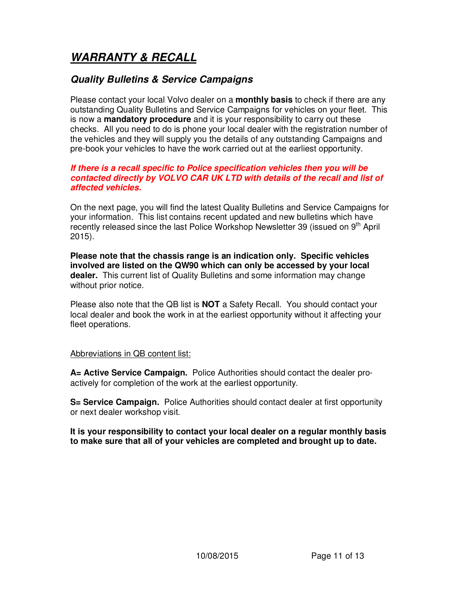# *WARRANTY & RECALL*

#### *Quality Bulletins & Service Campaigns*

Please contact your local Volvo dealer on a **monthly basis** to check if there are any outstanding Quality Bulletins and Service Campaigns for vehicles on your fleet. This is now a **mandatory procedure** and it is your responsibility to carry out these checks. All you need to do is phone your local dealer with the registration number of the vehicles and they will supply you the details of any outstanding Campaigns and pre-book your vehicles to have the work carried out at the earliest opportunity.

#### *If there is a recall specific to Police specification vehicles then you will be contacted directly by VOLVO CAR UK LTD with details of the recall and list of affected vehicles.*

On the next page, you will find the latest Quality Bulletins and Service Campaigns for your information. This list contains recent updated and new bulletins which have recently released since the last Police Workshop Newsletter 39 (issued on 9<sup>th</sup> April 2015).

**Please note that the chassis range is an indication only. Specific vehicles involved are listed on the QW90 which can only be accessed by your local dealer.** This current list of Quality Bulletins and some information may change without prior notice.

Please also note that the QB list is **NOT** a Safety Recall. You should contact your local dealer and book the work in at the earliest opportunity without it affecting your fleet operations.

#### Abbreviations in QB content list:

**A= Active Service Campaign.** Police Authorities should contact the dealer proactively for completion of the work at the earliest opportunity.

**S= Service Campaign.** Police Authorities should contact dealer at first opportunity or next dealer workshop visit.

**It is your responsibility to contact your local dealer on a regular monthly basis to make sure that all of your vehicles are completed and brought up to date.**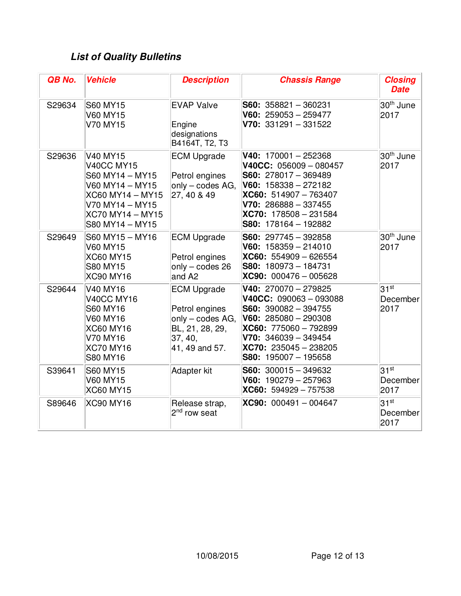# *List of Quality Bulletins*

| QB No. | <b>Vehicle</b>                                                                                                                                           | <b>Description</b>                                                                                       | <b>Chassis Range</b>                                                                                                                                                                                             | <b>Closing</b><br><b>Date</b> |
|--------|----------------------------------------------------------------------------------------------------------------------------------------------------------|----------------------------------------------------------------------------------------------------------|------------------------------------------------------------------------------------------------------------------------------------------------------------------------------------------------------------------|-------------------------------|
| S29634 | <b>S60 MY15</b><br><b>V60 MY15</b><br>V70 MY15                                                                                                           | <b>EVAP Valve</b><br>Engine<br>designations<br>B4164T, T2, T3                                            | $S60: 358821 - 360231$<br>V60: $259053 - 259477$<br>$V70: 331291 - 331522$                                                                                                                                       | 30 <sup>th</sup> June<br>2017 |
| S29636 | V40 MY15<br><b>V40CC MY15</b><br>S60 MY14 - MY15<br>V60 MY14 - MY15<br>XC60 MY14 - MY15<br>V70 MY14 - MY15<br><b>XC70 MY14 - MY15</b><br>S80 MY14 - MY15 | <b>ECM Upgrade</b><br>Petrol engines<br>only - codes AG,<br>27, 40 & 49                                  | V40: $170001 - 252368$<br>V40CC: $056009 - 080457$<br>$S60: 278017 - 369489$<br>V60: $158338 - 272182$<br>$XCG0: 514907 - 763407$<br>$V70: 286888 - 337455$<br>$XC70: 178508 - 231584$<br>S80: 178164 - 192882   | 30 <sup>th</sup> June<br>2017 |
| S29649 | S60 MY15 - MY16<br><b>V60 MY15</b><br><b>XC60 MY15</b><br><b>S80 MY15</b><br><b>XC90 MY16</b>                                                            | <b>ECM Upgrade</b><br>Petrol engines<br>$only - codes 26$<br>and A <sub>2</sub>                          | $S60: 297745 - 392858$<br>V60: $158359 - 214010$<br>$XCG0: 554909 - 626554$<br>$S80: 180973 - 184731$<br>$XC90: 000476 - 005628$                                                                                 | 30 <sup>th</sup> June<br>2017 |
| S29644 | <b>V40 MY16</b><br><b>V40CC MY16</b><br><b>S60 MY16</b><br>V60 MY16<br><b>XC60 MY16</b><br>V70 MY16<br><b>XC70 MY16</b><br><b>S80 MY16</b>               | <b>ECM Upgrade</b><br>Petrol engines<br>only - codes AG,<br>BL, 21, 28, 29,<br>37, 40,<br>41, 49 and 57. | $V40: 270070 - 279825$<br>$V40CC: 090063 - 093088$<br>$S60: 390082 - 394755$<br>$V60: 285080 - 290308$<br>$XCG0: 775060 - 792899$<br>$V70: 346039 - 349454$<br>$XC70: 235045 - 238205$<br>$S80: 195007 - 195658$ | $31^{st}$<br>December<br>2017 |
| S39641 | <b>S60 MY15</b><br><b>V60 MY15</b><br><b>XC60 MY15</b>                                                                                                   | Adapter kit                                                                                              | $S60: 300015 - 349632$<br>V60: $190279 - 257963$<br>$XC60: 594929 - 757538$                                                                                                                                      | $31^{st}$<br>December<br>2017 |
| S89646 | <b>XC90 MY16</b>                                                                                                                                         | Release strap,<br>2 <sup>nd</sup> row seat                                                               | $XC90: 000491 - 004647$                                                                                                                                                                                          | $31^{st}$<br>December<br>2017 |